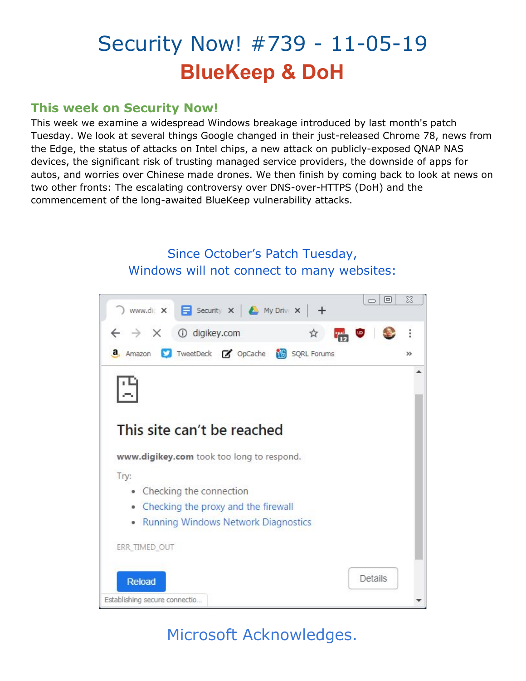# Security Now! #739 - 11-05-19 **BlueKeep & DoH**

### **This week on Security Now!**

This week we examine a widespread Windows breakage introduced by last month's patch Tuesday. We look at several things Google changed in their just-released Chrome 78, news from the Edge, the status of attacks on Intel chips, a new attack on publicly-exposed QNAP NAS devices, the significant risk of trusting managed service providers, the downside of apps for autos, and worries over Chinese made drones. We then finish by coming back to look at news on two other fronts: The escalating controversy over DNS-over-HTTPS (DoH) and the commencement of the long-awaited BlueKeep vulnerability attacks.

### Since October's Patch Tuesday, Windows will not connect to many websites:



## Microsoft Acknowledges.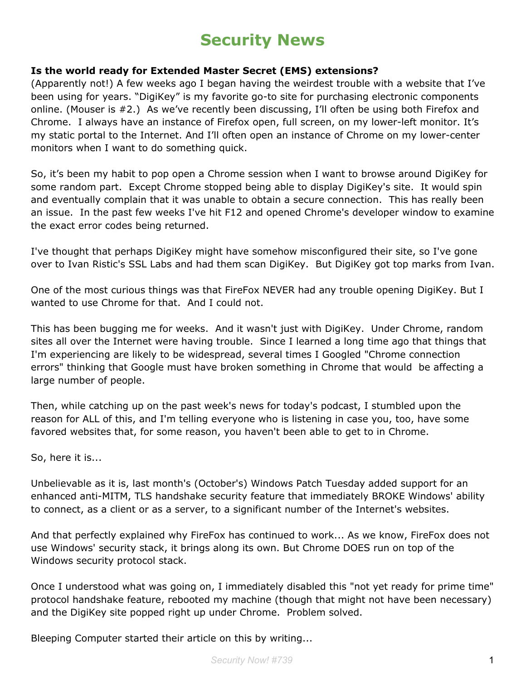## **Security News**

#### **Is the world ready for Extended Master Secret (EMS) extensions?**

(Apparently not!) A few weeks ago I began having the weirdest trouble with a website that I've been using for years. "DigiKey" is my favorite go-to site for purchasing electronic components online. (Mouser is #2.) As we've recently been discussing, I'll often be using both Firefox and Chrome. I always have an instance of Firefox open, full screen, on my lower-left monitor. It's my static portal to the Internet. And I'll often open an instance of Chrome on my lower-center monitors when I want to do something quick.

So, it's been my habit to pop open a Chrome session when I want to browse around DigiKey for some random part. Except Chrome stopped being able to display DigiKey's site. It would spin and eventually complain that it was unable to obtain a secure connection. This has really been an issue. In the past few weeks I've hit F12 and opened Chrome's developer window to examine the exact error codes being returned.

I've thought that perhaps DigiKey might have somehow misconfigured their site, so I've gone over to Ivan Ristic's SSL Labs and had them scan DigiKey. But DigiKey got top marks from Ivan.

One of the most curious things was that FireFox NEVER had any trouble opening DigiKey. But I wanted to use Chrome for that. And I could not.

This has been bugging me for weeks. And it wasn't just with DigiKey. Under Chrome, random sites all over the Internet were having trouble. Since I learned a long time ago that things that I'm experiencing are likely to be widespread, several times I Googled "Chrome connection errors" thinking that Google must have broken something in Chrome that would be affecting a large number of people.

Then, while catching up on the past week's news for today's podcast, I stumbled upon the reason for ALL of this, and I'm telling everyone who is listening in case you, too, have some favored websites that, for some reason, you haven't been able to get to in Chrome.

So, here it is...

Unbelievable as it is, last month's (October's) Windows Patch Tuesday added support for an enhanced anti-MITM, TLS handshake security feature that immediately BROKE Windows' ability to connect, as a client or as a server, to a significant number of the Internet's websites.

And that perfectly explained why FireFox has continued to work... As we know, FireFox does not use Windows' security stack, it brings along its own. But Chrome DOES run on top of the Windows security protocol stack.

Once I understood what was going on, I immediately disabled this "not yet ready for prime time" protocol handshake feature, rebooted my machine (though that might not have been necessary) and the DigiKey site popped right up under Chrome. Problem solved.

Bleeping Computer started their article on this by writing...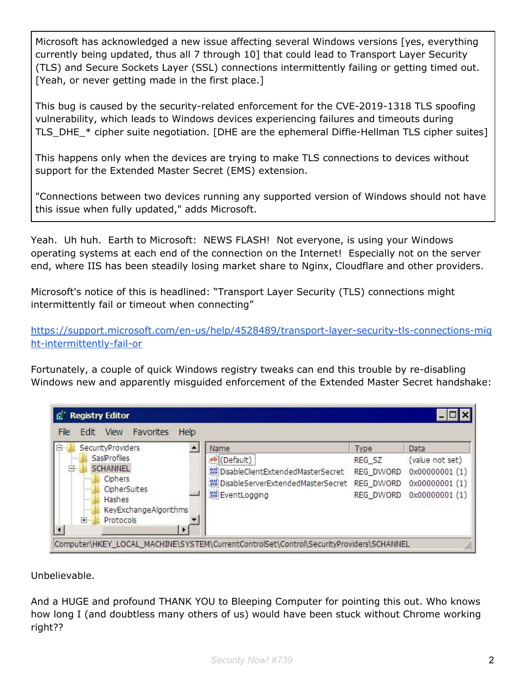Microsoft has acknowledged a new issue affecting several Windows versions [yes, everything currently being updated, thus all 7 through 10] that could lead to Transport Layer Security (TLS) and Secure Sockets Layer (SSL) connections intermittently failing or getting timed out. [Yeah, or never getting made in the first place.]

This bug is caused by the security-related enforcement for the CVE-2019-1318 TLS spoofing vulnerability, which leads to Windows devices experiencing failures and timeouts during TLS\_DHE\_\* cipher suite negotiation. [DHE are the ephemeral Diffie-Hellman TLS cipher suites]

This happens only when the devices are trying to make TLS connections to devices without support for the Extended Master Secret (EMS) extension.

"Connections between two devices running any supported version of Windows should not have this issue when fully updated," adds Microsoft.

Yeah. Uh huh. Earth to Microsoft: NEWS FLASH! Not everyone, is using your Windows operating systems at each end of the connection on the Internet! Especially not on the server end, where IIS has been steadily losing market share to Nginx, Cloudflare and other providers.

Microsoft's notice of this is headlined: "Transport Layer Security (TLS) connections might intermittently fail or timeout when connecting"

[https://support.microsoft.com/en-us/help/4528489/transport-layer-security-tls-connections-mig](https://support.microsoft.com/en-us/help/4528489/transport-layer-security-tls-connections-might-intermittently-fail-or) [ht-intermittently-fail-or](https://support.microsoft.com/en-us/help/4528489/transport-layer-security-tls-connections-might-intermittently-fail-or)

Fortunately, a couple of quick Windows registry tweaks can end this trouble by re-disabling Windows new and apparently misguided enforcement of the Extended Master Secret handshake:

| <b>Registry Editor</b>                                                                                                                                                                                                                                                                                                                                                           |                                                 |                                                                            |
|----------------------------------------------------------------------------------------------------------------------------------------------------------------------------------------------------------------------------------------------------------------------------------------------------------------------------------------------------------------------------------|-------------------------------------------------|----------------------------------------------------------------------------|
| View<br>Favorites<br>Help<br>File<br>Edit<br>Ė-<br>SecurityProviders<br>Name<br>Sas Profiles<br>ab (Default)<br><br><b>SCHANNEL</b><br>$=$ $-$<br>DisableClientExtendedMasterSecret<br>Ciphers<br><br>DisableServerExtendedMasterSecret REG DWORD<br>CipherSuites<br><br><b>RU</b> EventLogging<br>Hashes<br>$\frac{1}{2}$<br>KeyExchangeAlgorithms<br>1.1.1.1<br>中<br>Protocols | Type<br>REG_SZ<br>REG DWORD<br><b>REG DWORD</b> | Data<br>(value not set)<br>0x00000001(1)<br>0x00000001(1)<br>0x00000001(1) |

Unbelievable.

And a HUGE and profound THANK YOU to Bleeping Computer for pointing this out. Who knows how long I (and doubtless many others of us) would have been stuck without Chrome working right??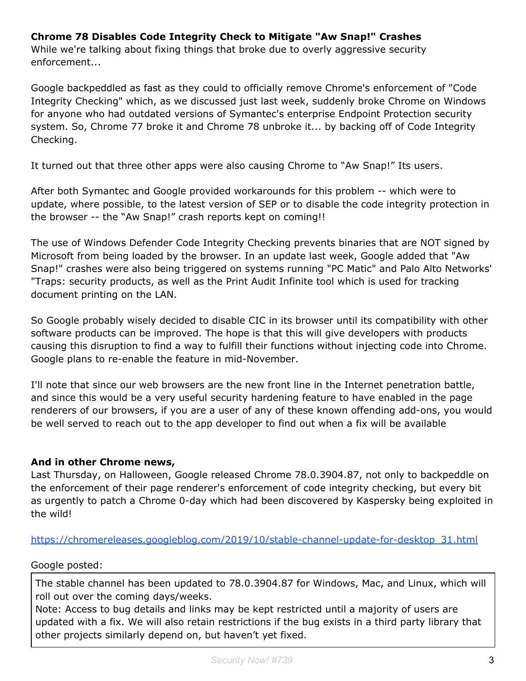#### **Chrome 78 Disables Code Integrity Check to Mitigate "Aw Snap!" Crashes**

While we're talking about fixing things that broke due to overly aggressive security enforcement...

Google backpeddled as fast as they could to officially remove Chrome's enforcement of "Code Integrity Checking" which, as we discussed just last week, suddenly broke Chrome on Windows for anyone who had outdated versions of Symantec's enterprise Endpoint Protection security system. So, Chrome 77 broke it and Chrome 78 unbroke it... by backing off of Code Integrity Checking.

It turned out that three other apps were also causing Chrome to "Aw Snap!" Its users.

After both Symantec and Google provided workarounds for this problem -- which were to update, where possible, to the latest version of SEP or to disable the code integrity protection in the browser -- the "Aw Snap!" crash reports kept on coming!!

The use of Windows Defender Code Integrity Checking prevents binaries that are NOT signed by Microsoft from being loaded by the browser. In an update last week, Google added that "Aw Snap!" crashes were also being triggered on systems running "PC Matic" and Palo Alto Networks' "Traps: security products, as well as the Print Audit Infinite tool which is used for tracking document printing on the LAN.

So Google probably wisely decided to disable CIC in its browser until its compatibility with other software products can be improved. The hope is that this will give developers with products causing this disruption to find a way to fulfill their functions without injecting code into Chrome. Google plans to re-enable the feature in mid-November.

I'll note that since our web browsers are the new front line in the Internet penetration battle, and since this would be a very useful security hardening feature to have enabled in the page renderers of our browsers, if you are a user of any of these known offending add-ons, you would be well served to reach out to the app developer to find out when a fix will be available

#### **And in other Chrome news,**

Last Thursday, on Halloween, Google released Chrome 78.0.3904.87, not only to backpeddle on the enforcement of their page renderer's enforcement of code integrity checking, but every bit as urgently to patch a Chrome 0-day which had been discovered by Kaspersky being exploited in the wild!

#### [https://chromereleases.googleblog.com/2019/10/stable-channel-update-for-desktop\\_31.html](https://chromereleases.googleblog.com/2019/10/stable-channel-update-for-desktop_31.html)

#### Google posted:

The stable channel has been updated to 78.0.3904.87 for Windows, Mac, and Linux, which will roll out over the coming days/weeks.

Note: Access to bug details and links may be kept restricted until a majority of users are updated with a fix. We will also retain restrictions if the bug exists in a third party library that other projects similarly depend on, but haven't yet fixed.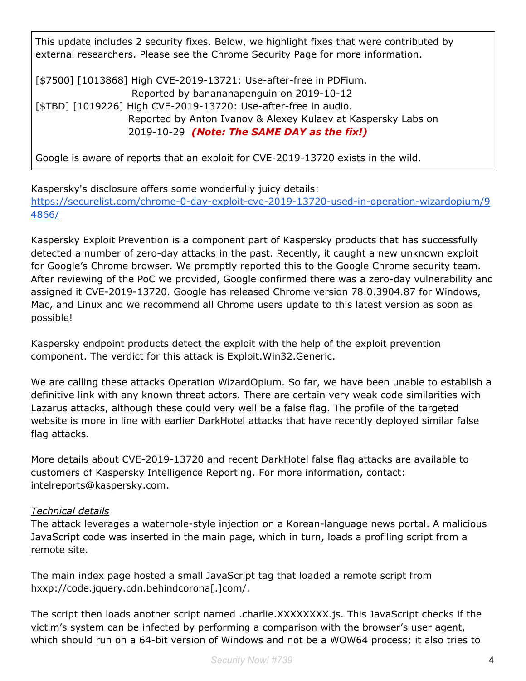This update includes 2 security fixes. Below, we highlight fixes that were contributed by external researchers. Please see the Chrome Security Page for more information.

[\$7500] [1013868] High CVE-2019-13721: Use-after-free in PDFium. Reported by banananapenguin on 2019-10-12 [\$TBD] [1019226] High CVE-2019-13720: Use-after-free in audio. Reported by Anton Ivanov & Alexey Kulaev at Kaspersky Labs on 2019-10-29 *(Note: The SAME DAY as the fix!)*

Google is aware of reports that an exploit for CVE-2019-13720 exists in the wild.

Kaspersky's disclosure offers some wonderfully juicy details: [https://securelist.com/chrome-0-day-exploit-cve-2019-13720-used-in-operation-wizardopium/9](https://securelist.com/chrome-0-day-exploit-cve-2019-13720-used-in-operation-wizardopium/94866/) [4866/](https://securelist.com/chrome-0-day-exploit-cve-2019-13720-used-in-operation-wizardopium/94866/)

Kaspersky Exploit Prevention is a component part of Kaspersky products that has successfully detected a number of zero-day attacks in the past. Recently, it caught a new unknown exploit for Google's Chrome browser. We promptly reported this to the Google Chrome security team. After reviewing of the PoC we provided, Google confirmed there was a zero-day vulnerability and assigned it CVE-2019-13720. Google has released Chrome version 78.0.3904.87 for Windows, Mac, and Linux and we recommend all Chrome users update to this latest version as soon as possible!

Kaspersky endpoint products detect the exploit with the help of the exploit prevention component. The verdict for this attack is Exploit.Win32.Generic.

We are calling these attacks Operation WizardOpium. So far, we have been unable to establish a definitive link with any known threat actors. There are certain very weak code similarities with Lazarus attacks, although these could very well be a false flag. The profile of the targeted website is more in line with earlier DarkHotel attacks that have recently deployed similar false flag attacks.

More details about CVE-2019-13720 and recent DarkHotel false flag attacks are available to customers of Kaspersky Intelligence Reporting. For more information, contact: intelreports@kaspersky.com.

#### *Technical details*

The attack leverages a waterhole-style injection on a Korean-language news portal. A malicious JavaScript code was inserted in the main page, which in turn, loads a profiling script from a remote site.

The main index page hosted a small JavaScript tag that loaded a remote script from hxxp://code.jquery.cdn.behindcorona[.]com/.

The script then loads another script named .charlie.XXXXXXXX.js. This JavaScript checks if the victim's system can be infected by performing a comparison with the browser's user agent, which should run on a 64-bit version of Windows and not be a WOW64 process; it also tries to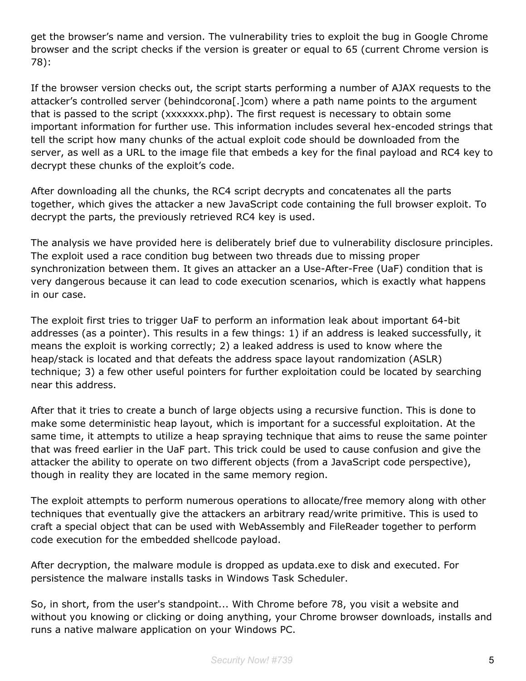get the browser's name and version. The vulnerability tries to exploit the bug in Google Chrome browser and the script checks if the version is greater or equal to 65 (current Chrome version is 78):

If the browser version checks out, the script starts performing a number of AJAX requests to the attacker's controlled server (behindcorona[.]com) where a path name points to the argument that is passed to the script (xxxxxxx.php). The first request is necessary to obtain some important information for further use. This information includes several hex-encoded strings that tell the script how many chunks of the actual exploit code should be downloaded from the server, as well as a URL to the image file that embeds a key for the final payload and RC4 key to decrypt these chunks of the exploit's code.

After downloading all the chunks, the RC4 script decrypts and concatenates all the parts together, which gives the attacker a new JavaScript code containing the full browser exploit. To decrypt the parts, the previously retrieved RC4 key is used.

The analysis we have provided here is deliberately brief due to vulnerability disclosure principles. The exploit used a race condition bug between two threads due to missing proper synchronization between them. It gives an attacker an a Use-After-Free (UaF) condition that is very dangerous because it can lead to code execution scenarios, which is exactly what happens in our case.

The exploit first tries to trigger UaF to perform an information leak about important 64-bit addresses (as a pointer). This results in a few things: 1) if an address is leaked successfully, it means the exploit is working correctly; 2) a leaked address is used to know where the heap/stack is located and that defeats the address space layout randomization (ASLR) technique; 3) a few other useful pointers for further exploitation could be located by searching near this address.

After that it tries to create a bunch of large objects using a recursive function. This is done to make some deterministic heap layout, which is important for a successful exploitation. At the same time, it attempts to utilize a heap spraying technique that aims to reuse the same pointer that was freed earlier in the UaF part. This trick could be used to cause confusion and give the attacker the ability to operate on two different objects (from a JavaScript code perspective), though in reality they are located in the same memory region.

The exploit attempts to perform numerous operations to allocate/free memory along with other techniques that eventually give the attackers an arbitrary read/write primitive. This is used to craft a special object that can be used with WebAssembly and FileReader together to perform code execution for the embedded shellcode payload.

After decryption, the malware module is dropped as updata.exe to disk and executed. For persistence the malware installs tasks in Windows Task Scheduler.

So, in short, from the user's standpoint... With Chrome before 78, you visit a website and without you knowing or clicking or doing anything, your Chrome browser downloads, installs and runs a native malware application on your Windows PC.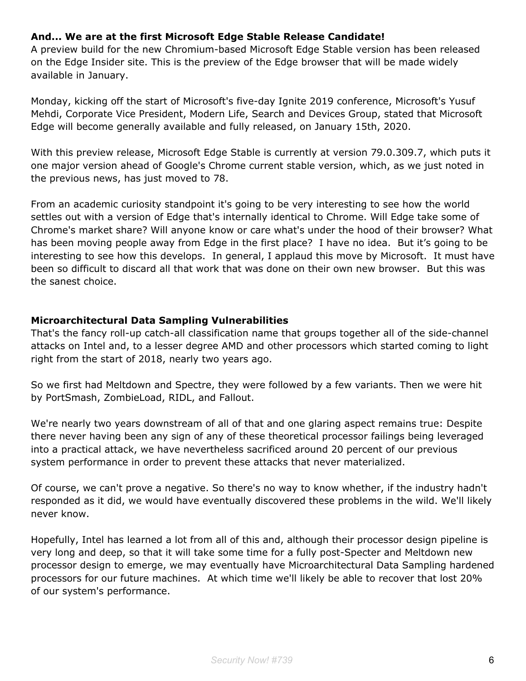#### **And... We are at the first Microsoft Edge Stable Release Candidate!**

A preview build for the new Chromium-based Microsoft Edge Stable version has been released on the Edge Insider site. This is the preview of the Edge browser that will be made widely available in January.

Monday, kicking off the start of Microsoft's five-day Ignite 2019 conference, Microsoft's Yusuf Mehdi, Corporate Vice President, Modern Life, Search and Devices Group, stated that Microsoft Edge will become generally available and fully released, on January 15th, 2020.

With this preview release, Microsoft Edge Stable is currently at version 79.0.309.7, which puts it one major version ahead of Google's Chrome current stable version, which, as we just noted in the previous news, has just moved to 78.

From an academic curiosity standpoint it's going to be very interesting to see how the world settles out with a version of Edge that's internally identical to Chrome. Will Edge take some of Chrome's market share? Will anyone know or care what's under the hood of their browser? What has been moving people away from Edge in the first place? I have no idea. But it's going to be interesting to see how this develops. In general, I applaud this move by Microsoft. It must have been so difficult to discard all that work that was done on their own new browser. But this was the sanest choice.

#### **Microarchitectural Data Sampling Vulnerabilities**

That's the fancy roll-up catch-all classification name that groups together all of the side-channel attacks on Intel and, to a lesser degree AMD and other processors which started coming to light right from the start of 2018, nearly two years ago.

So we first had Meltdown and Spectre, they were followed by a few variants. Then we were hit by PortSmash, ZombieLoad, RIDL, and Fallout.

We're nearly two years downstream of all of that and one glaring aspect remains true: Despite there never having been any sign of any of these theoretical processor failings being leveraged into a practical attack, we have nevertheless sacrificed around 20 percent of our previous system performance in order to prevent these attacks that never materialized.

Of course, we can't prove a negative. So there's no way to know whether, if the industry hadn't responded as it did, we would have eventually discovered these problems in the wild. We'll likely never know.

Hopefully, Intel has learned a lot from all of this and, although their processor design pipeline is very long and deep, so that it will take some time for a fully post-Specter and Meltdown new processor design to emerge, we may eventually have Microarchitectural Data Sampling hardened processors for our future machines. At which time we'll likely be able to recover that lost 20% of our system's performance.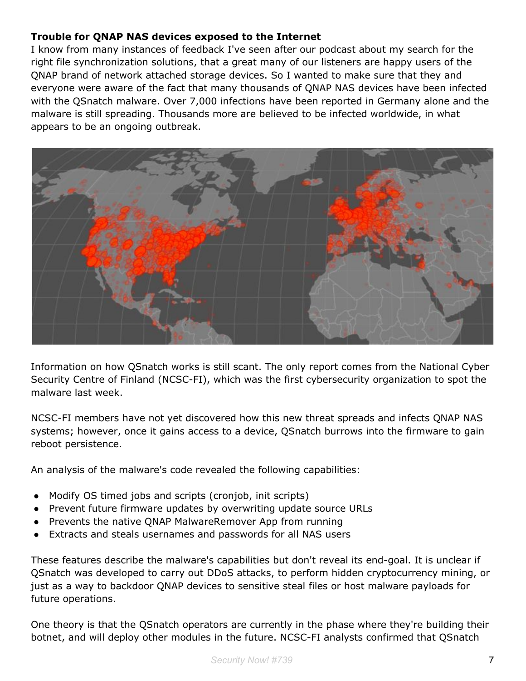#### **Trouble for QNAP NAS devices exposed to the Internet**

I know from many instances of feedback I've seen after our podcast about my search for the right file synchronization solutions, that a great many of our listeners are happy users of the QNAP brand of network attached storage devices. So I wanted to make sure that they and everyone were aware of the fact that many thousands of QNAP NAS devices have been infected with the QSnatch malware. Over 7,000 infections have been reported in Germany alone and the malware is still spreading. Thousands more are believed to be infected worldwide, in what appears to be an ongoing outbreak.



Information on how QSnatch works is still scant. The only report comes from the National Cyber Security Centre of Finland (NCSC-FI), which was the first cybersecurity organization to spot the malware last week.

NCSC-FI members have not yet discovered how this new threat spreads and infects QNAP NAS systems; however, once it gains access to a device, QSnatch burrows into the firmware to gain reboot persistence.

An analysis of the malware's code revealed the following capabilities:

- Modify OS timed jobs and scripts (cronjob, init scripts)
- Prevent future firmware updates by overwriting update source URLs
- Prevents the native QNAP MalwareRemover App from running
- Extracts and steals usernames and passwords for all NAS users

These features describe the malware's capabilities but don't reveal its end-goal. It is unclear if QSnatch was developed to carry out DDoS attacks, to perform hidden cryptocurrency mining, or just as a way to backdoor QNAP devices to sensitive steal files or host malware payloads for future operations.

One theory is that the QSnatch operators are currently in the phase where they're building their botnet, and will deploy other modules in the future. NCSC-FI analysts confirmed that QSnatch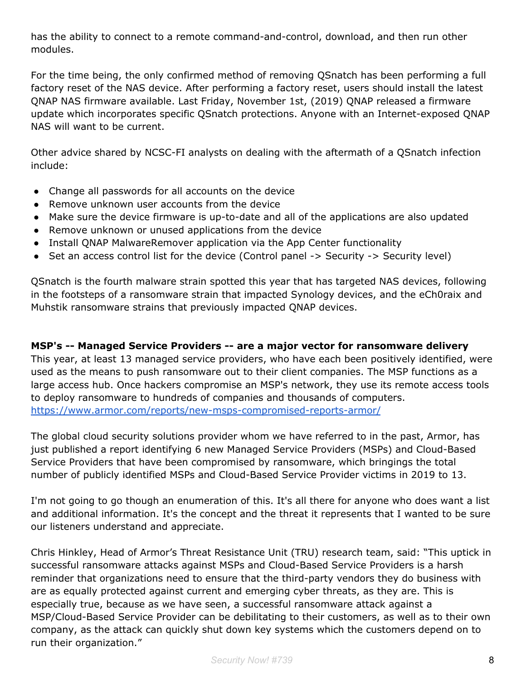has the ability to connect to a remote command-and-control, download, and then run other modules.

For the time being, the only confirmed method of removing QSnatch has been performing a full factory reset of the NAS device. After performing a factory reset, users should install the latest QNAP NAS firmware available. Last Friday, November 1st, (2019) QNAP released a firmware update which incorporates specific QSnatch protections. Anyone with an Internet-exposed QNAP NAS will want to be current.

Other advice shared by NCSC-FI analysts on dealing with the aftermath of a QSnatch infection include:

- Change all passwords for all accounts on the device
- Remove unknown user accounts from the device
- Make sure the device firmware is up-to-date and all of the applications are also updated
- Remove unknown or unused applications from the device
- Install QNAP MalwareRemover application via the App Center functionality
- Set an access control list for the device (Control panel -> Security -> Security level)

QSnatch is the fourth malware strain spotted this year that has targeted NAS devices, following in the footsteps of a ransomware strain that impacted Synology devices, and the eCh0raix and Muhstik ransomware strains that previously impacted QNAP devices.

#### **MSP's -- Managed Service Providers -- are a major vector for ransomware delivery**

This year, at least 13 managed service providers, who have each been positively identified, were used as the means to push ransomware out to their client companies. The MSP functions as a large access hub. Once hackers compromise an MSP's network, they use its remote access tools to deploy ransomware to hundreds of companies and thousands of computers. <https://www.armor.com/reports/new-msps-compromised-reports-armor/>

The global cloud security solutions provider whom we have referred to in the past, Armor, has just published a report identifying 6 new Managed Service Providers (MSPs) and Cloud-Based Service Providers that have been compromised by ransomware, which bringings the total number of publicly identified MSPs and Cloud-Based Service Provider victims in 2019 to 13.

I'm not going to go though an enumeration of this. It's all there for anyone who does want a list and additional information. It's the concept and the threat it represents that I wanted to be sure our listeners understand and appreciate.

Chris Hinkley, Head of Armor's Threat Resistance Unit (TRU) research team, said: "This uptick in successful ransomware attacks against MSPs and Cloud-Based Service Providers is a harsh reminder that organizations need to ensure that the third-party vendors they do business with are as equally protected against current and emerging cyber threats, as they are. This is especially true, because as we have seen, a successful ransomware attack against a MSP/Cloud-Based Service Provider can be debilitating to their customers, as well as to their own company, as the attack can quickly shut down key systems which the customers depend on to run their organization."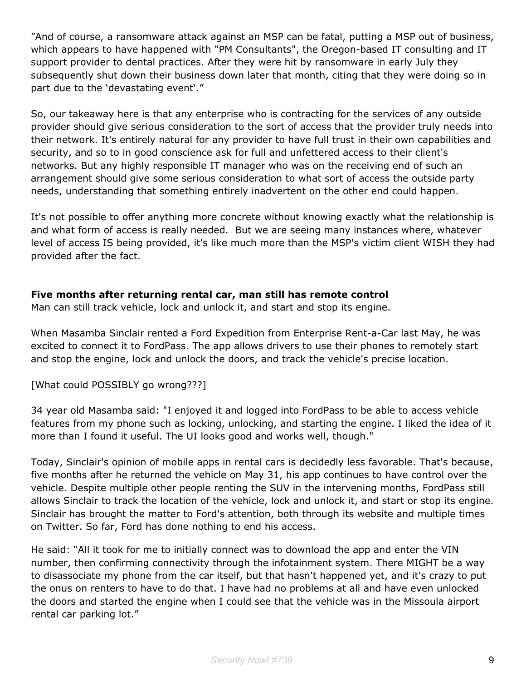"And of course, a ransomware attack against an MSP can be fatal, putting a MSP out of business, which appears to have happened with "PM Consultants", the Oregon-based IT consulting and IT support provider to dental practices. After they were hit by ransomware in early July they subsequently shut down their business down later that month, citing that they were doing so in part due to the 'devastating event'."

So, our takeaway here is that any enterprise who is contracting for the services of any outside provider should give serious consideration to the sort of access that the provider truly needs into their network. It's entirely natural for any provider to have full trust in their own capabilities and security, and so to in good conscience ask for full and unfettered access to their client's networks. But any highly responsible IT manager who was on the receiving end of such an arrangement should give some serious consideration to what sort of access the outside party needs, understanding that something entirely inadvertent on the other end could happen.

It's not possible to offer anything more concrete without knowing exactly what the relationship is and what form of access is really needed. But we are seeing many instances where, whatever level of access IS being provided, it's like much more than the MSP's victim client WISH they had provided after the fact.

#### **Five months after returning rental car, man still has remote control**

Man can still track vehicle, lock and unlock it, and start and stop its engine.

When Masamba Sinclair rented a Ford Expedition from Enterprise Rent-a-Car last May, he was excited to connect it to FordPass. The app allows drivers to use their phones to remotely start and stop the engine, lock and unlock the doors, and track the vehicle's precise location.

[What could POSSIBLY go wrong???]

34 year old Masamba said: "I enjoyed it and logged into FordPass to be able to access vehicle features from my phone such as locking, unlocking, and starting the engine. I liked the idea of it more than I found it useful. The UI looks good and works well, though."

Today, Sinclair's opinion of mobile apps in rental cars is decidedly less favorable. That's because, five months after he returned the vehicle on May 31, his app continues to have control over the vehicle. Despite multiple other people renting the SUV in the intervening months, FordPass still allows Sinclair to track the location of the vehicle, lock and unlock it, and start or stop its engine. Sinclair has brought the matter to Ford's attention, both through its website and multiple times on Twitter. So far, Ford has done nothing to end his access.

He said: "All it took for me to initially connect was to download the app and enter the VIN number, then confirming connectivity through the infotainment system. There MIGHT be a way to disassociate my phone from the car itself, but that hasn't happened yet, and it's crazy to put the onus on renters to have to do that. I have had no problems at all and have even unlocked the doors and started the engine when I could see that the vehicle was in the Missoula airport rental car parking lot."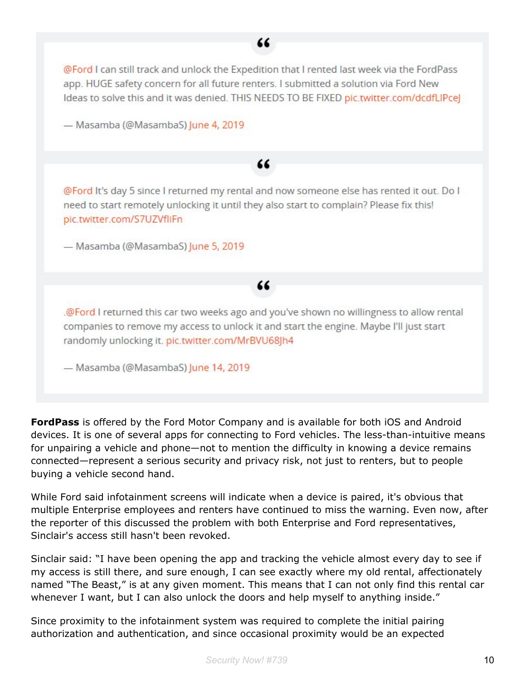

**FordPass** is offered by the Ford Motor Company and is available for both iOS and Android devices. It is one of several apps for connecting to Ford vehicles. The less-than-intuitive means for unpairing a vehicle and phone—not to mention the difficulty in knowing a device remains connected—represent a serious security and privacy risk, not just to renters, but to people buying a vehicle second hand.

While Ford said infotainment screens will indicate when a device is paired, it's obvious that multiple Enterprise employees and renters have continued to miss the warning. Even now, after the reporter of this discussed the problem with both Enterprise and Ford representatives, Sinclair's access still hasn't been revoked.

Sinclair said: "I have been opening the app and tracking the vehicle almost every day to see if my access is still there, and sure enough, I can see exactly where my old rental, affectionately named "The Beast," is at any given moment. This means that I can not only find this rental car whenever I want, but I can also unlock the doors and help myself to anything inside."

Since proximity to the infotainment system was required to complete the initial pairing authorization and authentication, and since occasional proximity would be an expected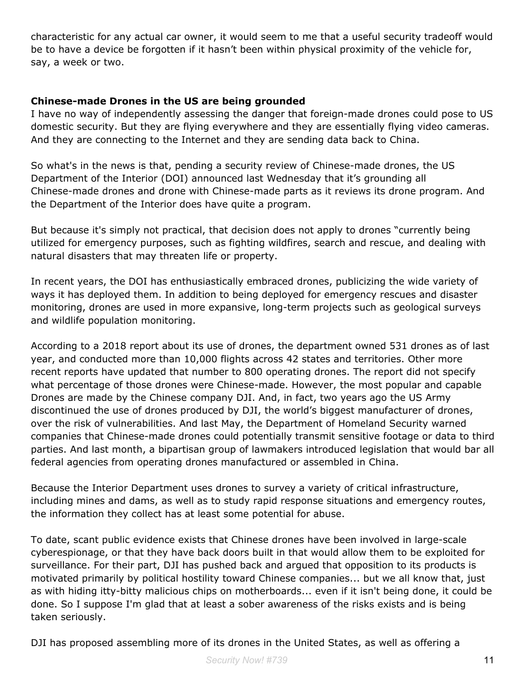characteristic for any actual car owner, it would seem to me that a useful security tradeoff would be to have a device be forgotten if it hasn't been within physical proximity of the vehicle for, say, a week or two.

#### **Chinese-made Drones in the US are being grounded**

I have no way of independently assessing the danger that foreign-made drones could pose to US domestic security. But they are flying everywhere and they are essentially flying video cameras. And they are connecting to the Internet and they are sending data back to China.

So what's in the news is that, pending a security review of Chinese-made drones, the US Department of the Interior (DOI) announced last Wednesday that it's grounding all Chinese-made drones and drone with Chinese-made parts as it reviews its drone program. And the Department of the Interior does have quite a program.

But because it's simply not practical, that decision does not apply to drones "currently being utilized for emergency purposes, such as fighting wildfires, search and rescue, and dealing with natural disasters that may threaten life or property.

In recent years, the DOI has enthusiastically embraced drones, publicizing the wide variety of ways it has deployed them. In addition to being deployed for emergency rescues and disaster monitoring, drones are used in more expansive, long-term projects such as geological surveys and wildlife population monitoring.

According to a 2018 report about its use of drones, the department owned 531 drones as of last year, and conducted more than 10,000 flights across 42 states and territories. Other more recent reports have updated that number to 800 operating drones. The report did not specify what percentage of those drones were Chinese-made. However, the most popular and capable Drones are made by the Chinese company DJI. And, in fact, two years ago the US Army discontinued the use of drones produced by DJI, the world's biggest manufacturer of drones, over the risk of vulnerabilities. And last May, the Department of Homeland Security warned companies that Chinese-made drones could potentially transmit sensitive footage or data to third parties. And last month, a bipartisan group of lawmakers introduced legislation that would bar all federal agencies from operating drones manufactured or assembled in China.

Because the Interior Department uses drones to survey a variety of critical infrastructure, including mines and dams, as well as to study rapid response situations and emergency routes, the information they collect has at least some potential for abuse.

To date, scant public evidence exists that Chinese drones have been involved in large-scale cyberespionage, or that they have back doors built in that would allow them to be exploited for surveillance. For their part, DJI has pushed back and argued that opposition to its products is motivated primarily by political hostility toward Chinese companies... but we all know that, just as with hiding itty-bitty malicious chips on motherboards... even if it isn't being done, it could be done. So I suppose I'm glad that at least a sober awareness of the risks exists and is being taken seriously.

DJI has proposed assembling more of its drones in the United States, as well as offering a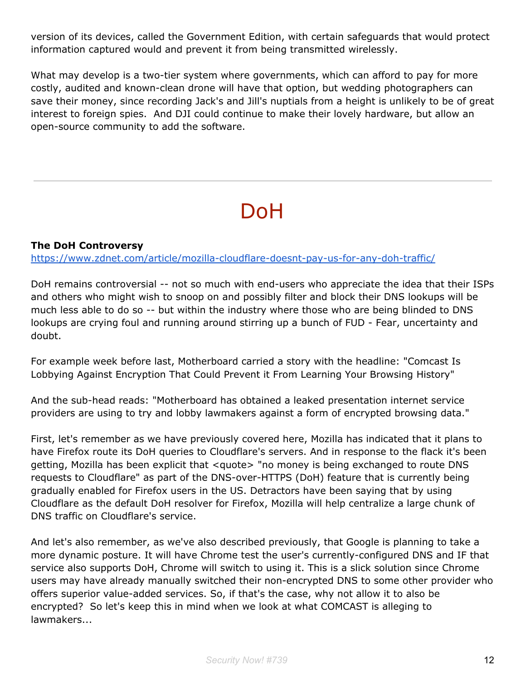version of its devices, called the Government Edition, with certain safeguards that would protect information captured would and prevent it from being transmitted wirelessly.

What may develop is a two-tier system where governments, which can afford to pay for more costly, audited and known-clean drone will have that option, but wedding photographers can save their money, since recording Jack's and Jill's nuptials from a height is unlikely to be of great interest to foreign spies. And DJI could continue to make their lovely hardware, but allow an open-source community to add the software.

# DoH

#### **The DoH Controversy**

<https://www.zdnet.com/article/mozilla-cloudflare-doesnt-pay-us-for-any-doh-traffic/>

DoH remains controversial -- not so much with end-users who appreciate the idea that their ISPs and others who might wish to snoop on and possibly filter and block their DNS lookups will be much less able to do so -- but within the industry where those who are being blinded to DNS lookups are crying foul and running around stirring up a bunch of FUD - Fear, uncertainty and doubt.

For example week before last, Motherboard carried a story with the headline: "Comcast Is Lobbying Against Encryption That Could Prevent it From Learning Your Browsing History"

And the sub-head reads: "Motherboard has obtained a leaked presentation internet service providers are using to try and lobby lawmakers against a form of encrypted browsing data."

First, let's remember as we have previously covered here, Mozilla has indicated that it plans to have Firefox route its DoH queries to Cloudflare's servers. And in response to the flack it's been getting, Mozilla has been explicit that <quote> "no money is being exchanged to route DNS requests to Cloudflare" as part of the DNS-over-HTTPS (DoH) feature that is currently being gradually enabled for Firefox users in the US. Detractors have been saying that by using Cloudflare as the default DoH resolver for Firefox, Mozilla will help centralize a large chunk of DNS traffic on Cloudflare's service.

And let's also remember, as we've also described previously, that Google is planning to take a more dynamic posture. It will have Chrome test the user's currently-configured DNS and IF that service also supports DoH, Chrome will switch to using it. This is a slick solution since Chrome users may have already manually switched their non-encrypted DNS to some other provider who offers superior value-added services. So, if that's the case, why not allow it to also be encrypted? So let's keep this in mind when we look at what COMCAST is alleging to lawmakers...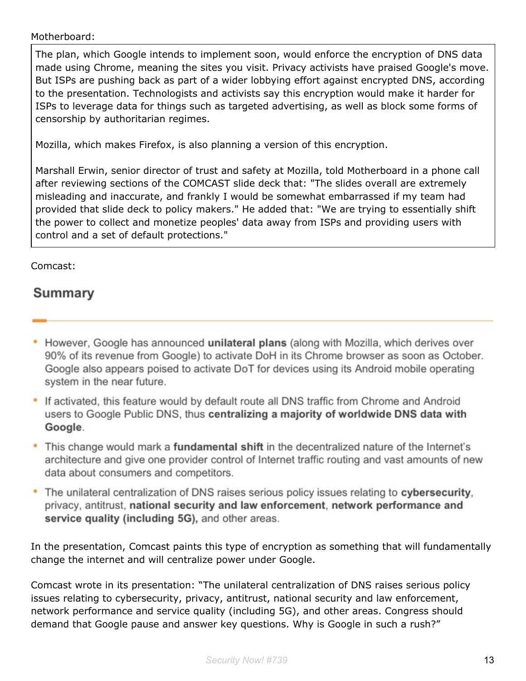#### Motherboard:

The plan, which Google intends to implement soon, would enforce the encryption of DNS data made using Chrome, meaning the sites you visit. Privacy activists have praised Google's move. But ISPs are pushing back as part of a wider lobbying effort against encrypted DNS, according to the presentation. Technologists and activists say this encryption would make it harder for ISPs to leverage data for things such as targeted advertising, as well as block some forms of censorship by authoritarian regimes.

Mozilla, which makes Firefox, is also planning a version of this encryption.

Marshall Erwin, senior director of trust and safety at Mozilla, told Motherboard in a phone call after reviewing sections of the COMCAST slide deck that: "The slides overall are extremely misleading and inaccurate, and frankly I would be somewhat embarrassed if my team had provided that slide deck to policy makers." He added that: "We are trying to essentially shift the power to collect and monetize peoples' data away from ISPs and providing users with control and a set of default protections."

#### Comcast:

### Summary

- However, Google has announced unilateral plans (along with Mozilla, which derives over 90% of its revenue from Google) to activate DoH in its Chrome browser as soon as October. Google also appears poised to activate DoT for devices using its Android mobile operating system in the near future.
- If activated, this feature would by default route all DNS traffic from Chrome and Android users to Google Public DNS, thus centralizing a majority of worldwide DNS data with Google.
- This change would mark a fundamental shift in the decentralized nature of the Internet's architecture and give one provider control of Internet traffic routing and vast amounts of new data about consumers and competitors.
- The unilateral centralization of DNS raises serious policy issues relating to cybersecurity. privacy, antitrust, national security and law enforcement, network performance and service quality (including 5G), and other areas.

In the presentation, Comcast paints this type of encryption as something that will fundamentally change the internet and will centralize power under Google.

Comcast wrote in its presentation: "The unilateral centralization of DNS raises serious policy issues relating to cybersecurity, privacy, antitrust, national security and law enforcement, network performance and service quality (including 5G), and other areas. Congress should demand that Google pause and answer key questions. Why is Google in such a rush?"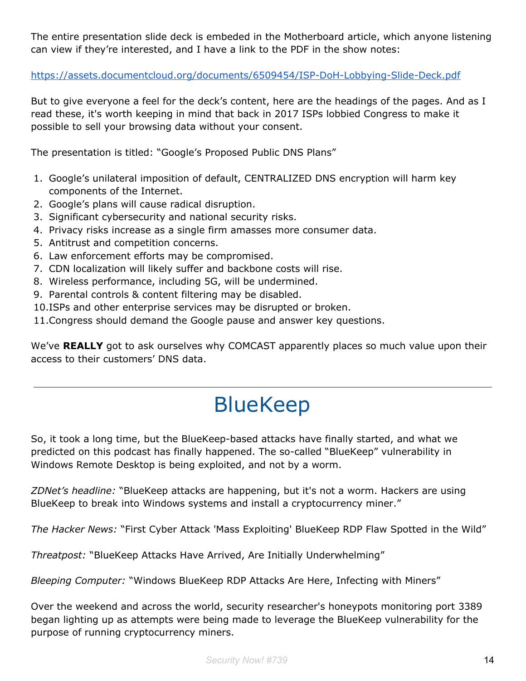The entire presentation slide deck is embeded in the Motherboard article, which anyone listening can view if they're interested, and I have a link to the PDF in the show notes:

<https://assets.documentcloud.org/documents/6509454/ISP-DoH-Lobbying-Slide-Deck.pdf>

But to give everyone a feel for the deck's content, here are the headings of the pages. And as I read these, it's worth keeping in mind that back in 2017 ISPs lobbied Congress to make it possible to sell your browsing data without your consent.

The presentation is titled: "Google's Proposed Public DNS Plans"

- 1. Google's unilateral imposition of default, CENTRALIZED DNS encryption will harm key components of the Internet.
- 2. Google's plans will cause radical disruption.
- 3. Significant cybersecurity and national security risks.
- 4. Privacy risks increase as a single firm amasses more consumer data.
- 5. Antitrust and competition concerns.
- 6. Law enforcement efforts may be compromised.
- 7. CDN localization will likely suffer and backbone costs will rise.
- 8. Wireless performance, including 5G, will be undermined.
- 9. Parental controls & content filtering may be disabled.
- 10.ISPs and other enterprise services may be disrupted or broken.
- 11.Congress should demand the Google pause and answer key questions.

We've **REALLY** got to ask ourselves why COMCAST apparently places so much value upon their access to their customers' DNS data.

# BlueKeep

So, it took a long time, but the BlueKeep-based attacks have finally started, and what we predicted on this podcast has finally happened. The so-called "BlueKeep" vulnerability in Windows Remote Desktop is being exploited, and not by a worm.

*ZDNet's headline:* "BlueKeep attacks are happening, but it's not a worm. Hackers are using BlueKeep to break into Windows systems and install a cryptocurrency miner."

*The Hacker News:* "First Cyber Attack 'Mass Exploiting' BlueKeep RDP Flaw Spotted in the Wild"

*Threatpost:* "BlueKeep Attacks Have Arrived, Are Initially Underwhelming"

*Bleeping Computer:* "Windows BlueKeep RDP Attacks Are Here, Infecting with Miners"

Over the weekend and across the world, security researcher's honeypots monitoring port 3389 began lighting up as attempts were being made to leverage the BlueKeep vulnerability for the purpose of running cryptocurrency miners.